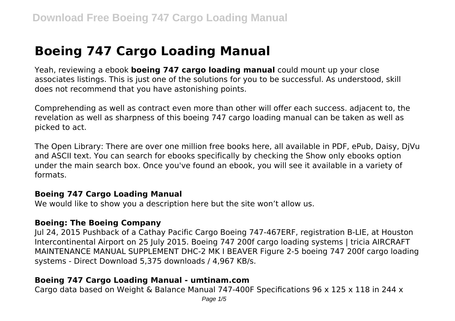# **Boeing 747 Cargo Loading Manual**

Yeah, reviewing a ebook **boeing 747 cargo loading manual** could mount up your close associates listings. This is just one of the solutions for you to be successful. As understood, skill does not recommend that you have astonishing points.

Comprehending as well as contract even more than other will offer each success. adjacent to, the revelation as well as sharpness of this boeing 747 cargo loading manual can be taken as well as picked to act.

The Open Library: There are over one million free books here, all available in PDF, ePub, Daisy, DjVu and ASCII text. You can search for ebooks specifically by checking the Show only ebooks option under the main search box. Once you've found an ebook, you will see it available in a variety of formats.

#### **Boeing 747 Cargo Loading Manual**

We would like to show you a description here but the site won't allow us.

#### **Boeing: The Boeing Company**

Jul 24, 2015 Pushback of a Cathay Pacific Cargo Boeing 747-467ERF, registration B-LIE, at Houston Intercontinental Airport on 25 July 2015. Boeing 747 200f cargo loading systems | tricia AIRCRAFT MAINTENANCE MANUAL SUPPLEMENT DHC-2 MK I BEAVER Figure 2-5 boeing 747 200f cargo loading systems - Direct Download 5,375 downloads / 4,967 KB/s.

### **Boeing 747 Cargo Loading Manual - umtinam.com**

Cargo data based on Weight & Balance Manual 747-400F Specifications 96 x 125 x 118 in 244 x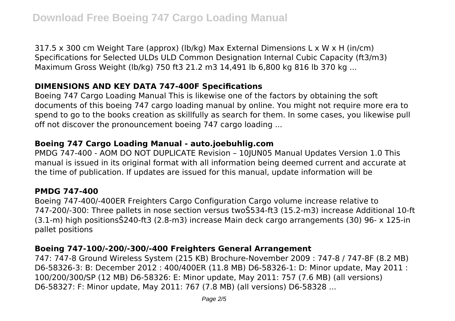317.5 x 300 cm Weight Tare (approx) (lb/kg) Max External Dimensions L x W x H (in/cm) Specifications for Selected ULDs ULD Common Designation Internal Cubic Capacity (ft3/m3) Maximum Gross Weight (lb/kg) 750 ft3 21.2 m3 14,491 lb 6,800 kg 816 lb 370 kg ...

# **DIMENSIONS AND KEY DATA 747-400F Specifications**

Boeing 747 Cargo Loading Manual This is likewise one of the factors by obtaining the soft documents of this boeing 747 cargo loading manual by online. You might not require more era to spend to go to the books creation as skillfully as search for them. In some cases, you likewise pull off not discover the pronouncement boeing 747 cargo loading ...

# **Boeing 747 Cargo Loading Manual - auto.joebuhlig.com**

PMDG 747-400 - AOM DO NOT DUPLICATE Revision – 10JUN05 Manual Updates Version 1.0 This manual is issued in its original format with all information being deemed current and accurate at the time of publication. If updates are issued for this manual, update information will be

### **PMDG 747-400**

Boeing 747-400/-400ER Freighters Cargo Configuration Cargo volume increase relative to 747-200/-300: Three pallets in nose section versus twoŠ534-ft3 (15.2-m3) increase Additional 10-ft (3.1-m) high positionsŠ240-ft3 (2.8-m3) increase Main deck cargo arrangements (30) 96- x 125-in pallet positions

# **Boeing 747-100/-200/-300/-400 Freighters General Arrangement**

747: 747-8 Ground Wireless System (215 KB) Brochure-November 2009 : 747-8 / 747-8F (8.2 MB) D6-58326-3: B: December 2012 : 400/400ER (11.8 MB) D6-58326-1: D: Minor update, May 2011 : 100/200/300/SP (12 MB) D6-58326: E: Minor update, May 2011: 757 (7.6 MB) (all versions) D6-58327: F: Minor update, May 2011: 767 (7.8 MB) (all versions) D6-58328 ...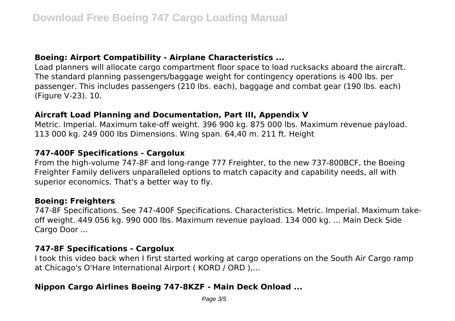## **Boeing: Airport Compatibility - Airplane Characteristics ...**

Load planners will allocate cargo compartment floor space to load rucksacks aboard the aircraft. The standard planning passengers/baggage weight for contingency operations is 400 lbs. per passenger. This includes passengers (210 lbs. each), baggage and combat gear (190 lbs. each) (Figure V-23). 10.

## **Aircraft Load Planning and Documentation, Part III, Appendix V**

Metric. Imperial. Maximum take-off weight. 396 900 kg. 875 000 lbs. Maximum revenue payload. 113 000 kg. 249 000 lbs Dimensions. Wing span. 64,40 m. 211 ft. Height

### **747-400F Specifications - Cargolux**

From the high-volume 747-8F and long-range 777 Freighter, to the new 737-800BCF, the Boeing Freighter Family delivers unparalleled options to match capacity and capability needs, all with superior economics. That's a better way to fly.

#### **Boeing: Freighters**

747-8F Specifications. See 747-400F Specifications. Characteristics. Metric. Imperial. Maximum takeoff weight. 449 056 kg. 990 000 lbs. Maximum revenue payload. 134 000 kg. ... Main Deck Side Cargo Door ...

#### **747-8F Specifications - Cargolux**

I took this video back when I first started working at cargo operations on the South Air Cargo ramp at Chicago's O'Hare International Airport ( KORD / ORD ),...

### **Nippon Cargo Airlines Boeing 747-8KZF - Main Deck Onload ...**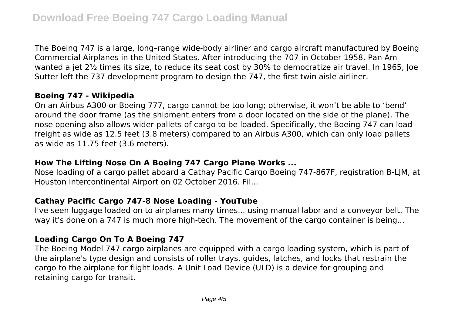The Boeing 747 is a large, long–range wide-body airliner and cargo aircraft manufactured by Boeing Commercial Airplanes in the United States. After introducing the 707 in October 1958, Pan Am wanted a iet 2½ times its size, to reduce its seat cost by 30% to democratize air travel. In 1965, Joe Sutter left the 737 development program to design the 747, the first twin aisle airliner.

## **Boeing 747 - Wikipedia**

On an Airbus A300 or Boeing 777, cargo cannot be too long; otherwise, it won't be able to 'bend' around the door frame (as the shipment enters from a door located on the side of the plane). The nose opening also allows wider pallets of cargo to be loaded. Specifically, the Boeing 747 can load freight as wide as 12.5 feet (3.8 meters) compared to an Airbus A300, which can only load pallets as wide as 11.75 feet (3.6 meters).

#### **How The Lifting Nose On A Boeing 747 Cargo Plane Works ...**

Nose loading of a cargo pallet aboard a Cathay Pacific Cargo Boeing 747-867F, registration B-LJM, at Houston Intercontinental Airport on 02 October 2016. Fil...

#### **Cathay Pacific Cargo 747-8 Nose Loading - YouTube**

I've seen luggage loaded on to airplanes many times... using manual labor and a conveyor belt. The way it's done on a 747 is much more high-tech. The movement of the cargo container is being...

### **Loading Cargo On To A Boeing 747**

The Boeing Model 747 cargo airplanes are equipped with a cargo loading system, which is part of the airplane's type design and consists of roller trays, guides, latches, and locks that restrain the cargo to the airplane for flight loads. A Unit Load Device (ULD) is a device for grouping and retaining cargo for transit.